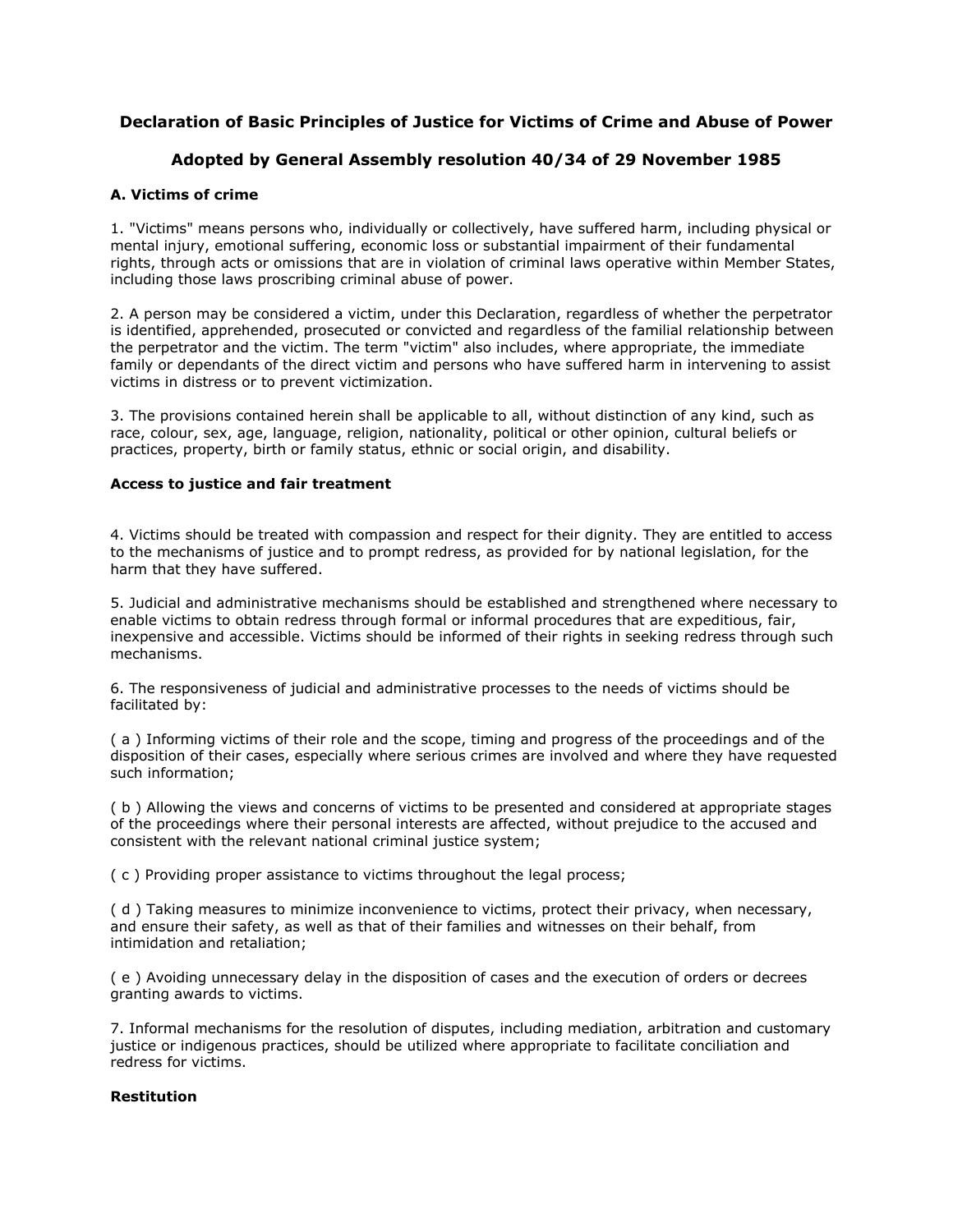# **Declaration of Basic Principles of Justice for Victims of Crime and Abuse of Power**

# **Adopted by General Assembly resolution 40/34 of 29 November 1985**

## **A. Victims of crime**

1. "Victims" means persons who, individually or collectively, have suffered harm, including physical or mental injury, emotional suffering, economic loss or substantial impairment of their fundamental rights, through acts or omissions that are in violation of criminal laws operative within Member States, including those laws proscribing criminal abuse of power.

2. A person may be considered a victim, under this Declaration, regardless of whether the perpetrator is identified, apprehended, prosecuted or convicted and regardless of the familial relationship between the perpetrator and the victim. The term "victim" also includes, where appropriate, the immediate family or dependants of the direct victim and persons who have suffered harm in intervening to assist victims in distress or to prevent victimization.

3. The provisions contained herein shall be applicable to all, without distinction of any kind, such as race, colour, sex, age, language, religion, nationality, political or other opinion, cultural beliefs or practices, property, birth or family status, ethnic or social origin, and disability.

### **Access to justice and fair treatment**

4. Victims should be treated with compassion and respect for their dignity. They are entitled to access to the mechanisms of justice and to prompt redress, as provided for by national legislation, for the harm that they have suffered.

5. Judicial and administrative mechanisms should be established and strengthened where necessary to enable victims to obtain redress through formal or informal procedures that are expeditious, fair, inexpensive and accessible. Victims should be informed of their rights in seeking redress through such mechanisms.

6. The responsiveness of judicial and administrative processes to the needs of victims should be facilitated by:

( a ) Informing victims of their role and the scope, timing and progress of the proceedings and of the disposition of their cases, especially where serious crimes are involved and where they have requested such information;

( b ) Allowing the views and concerns of victims to be presented and considered at appropriate stages of the proceedings where their personal interests are affected, without prejudice to the accused and consistent with the relevant national criminal justice system;

( c ) Providing proper assistance to victims throughout the legal process;

( d ) Taking measures to minimize inconvenience to victims, protect their privacy, when necessary, and ensure their safety, as well as that of their families and witnesses on their behalf, from intimidation and retaliation;

( e ) Avoiding unnecessary delay in the disposition of cases and the execution of orders or decrees granting awards to victims.

7. Informal mechanisms for the resolution of disputes, including mediation, arbitration and customary justice or indigenous practices, should be utilized where appropriate to facilitate conciliation and redress for victims.

## **Restitution**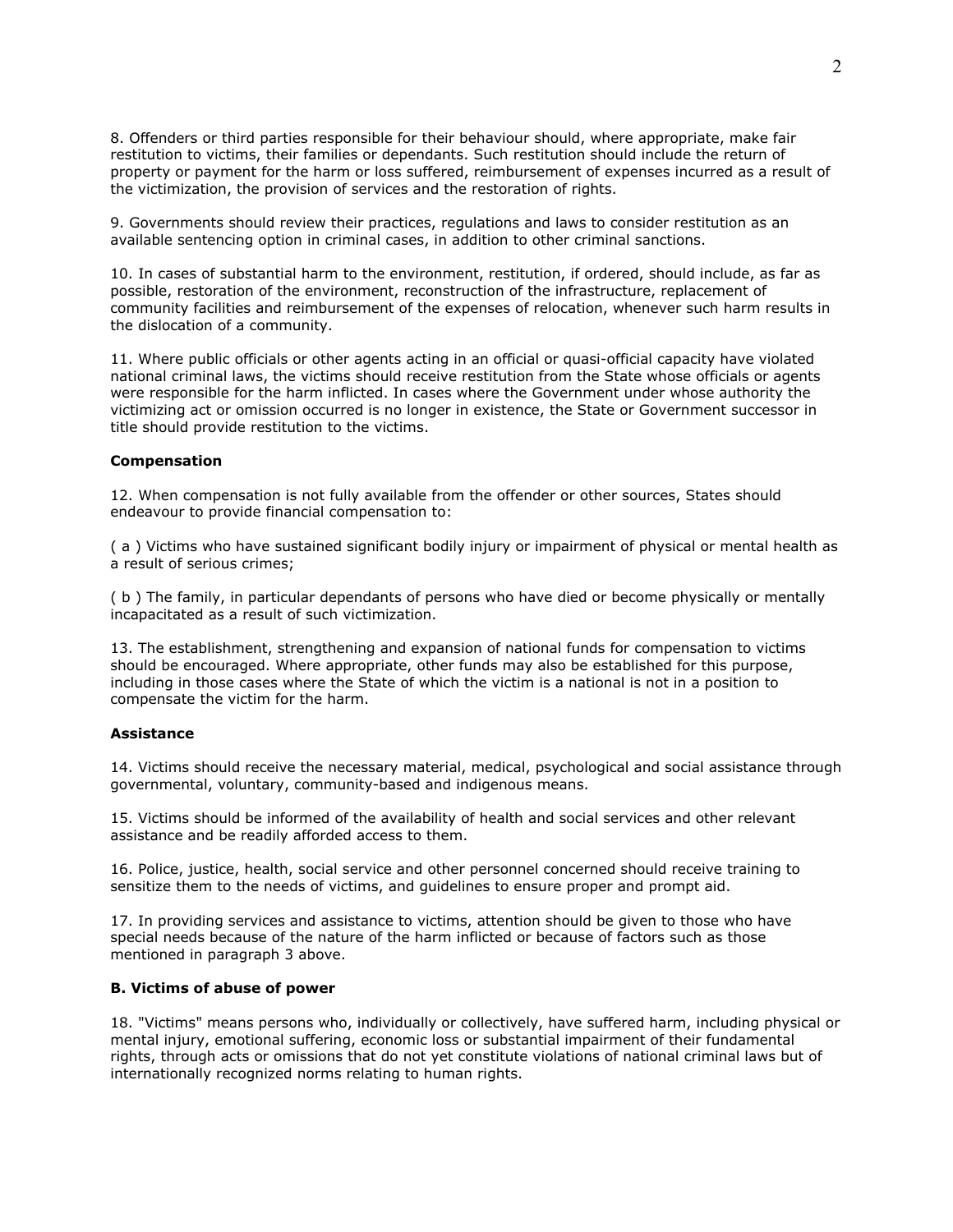8. Offenders or third parties responsible for their behaviour should, where appropriate, make fair restitution to victims, their families or dependants. Such restitution should include the return of property or payment for the harm or loss suffered, reimbursement of expenses incurred as a result of the victimization, the provision of services and the restoration of rights.

9. Governments should review their practices, regulations and laws to consider restitution as an available sentencing option in criminal cases, in addition to other criminal sanctions.

10. In cases of substantial harm to the environment, restitution, if ordered, should include, as far as possible, restoration of the environment, reconstruction of the infrastructure, replacement of community facilities and reimbursement of the expenses of relocation, whenever such harm results in the dislocation of a community.

11. Where public officials or other agents acting in an official or quasi-official capacity have violated national criminal laws, the victims should receive restitution from the State whose officials or agents were responsible for the harm inflicted. In cases where the Government under whose authority the victimizing act or omission occurred is no longer in existence, the State or Government successor in title should provide restitution to the victims.

#### **Compensation**

12. When compensation is not fully available from the offender or other sources, States should endeavour to provide financial compensation to:

( a ) Victims who have sustained significant bodily injury or impairment of physical or mental health as a result of serious crimes;

( b ) The family, in particular dependants of persons who have died or become physically or mentally incapacitated as a result of such victimization.

13. The establishment, strengthening and expansion of national funds for compensation to victims should be encouraged. Where appropriate, other funds may also be established for this purpose, including in those cases where the State of which the victim is a national is not in a position to compensate the victim for the harm.

#### **Assistance**

14. Victims should receive the necessary material, medical, psychological and social assistance through governmental, voluntary, community-based and indigenous means.

15. Victims should be informed of the availability of health and social services and other relevant assistance and be readily afforded access to them.

16. Police, justice, health, social service and other personnel concerned should receive training to sensitize them to the needs of victims, and guidelines to ensure proper and prompt aid.

17. In providing services and assistance to victims, attention should be given to those who have special needs because of the nature of the harm inflicted or because of factors such as those mentioned in paragraph 3 above.

#### **B. Victims of abuse of power**

18. "Victims" means persons who, individually or collectively, have suffered harm, including physical or mental injury, emotional suffering, economic loss or substantial impairment of their fundamental rights, through acts or omissions that do not yet constitute violations of national criminal laws but of internationally recognized norms relating to human rights.